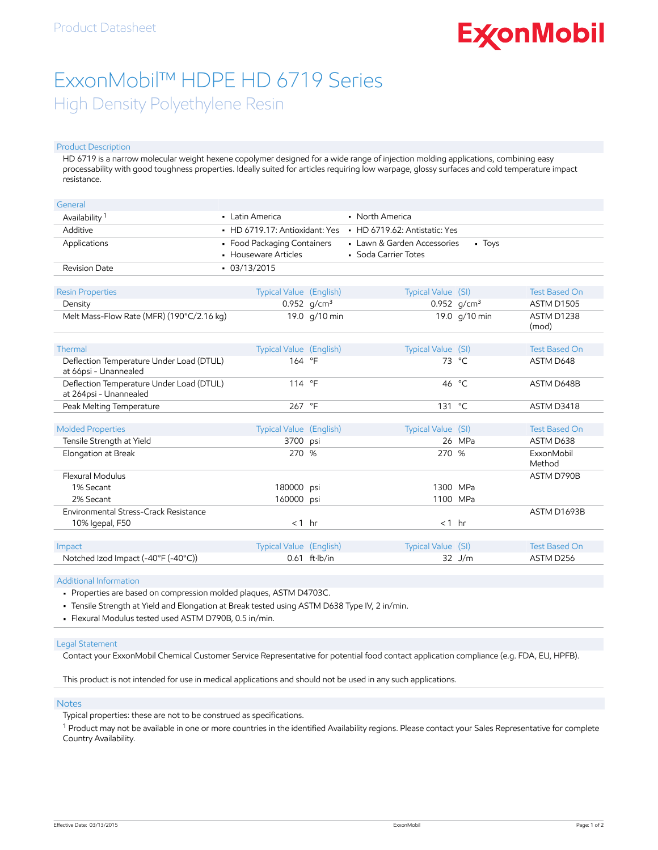# **ExconMobil**

## ExxonMobil™ HDPE HD 6719 Series High Density Polyethylene Resin

#### Product Description

HD 6719 is a narrow molecular weight hexene copolymer designed for a wide range of injection molding applications, combining easy processability with good toughness properties. Ideally suited for articles requiring low warpage, glossy surfaces and cold temperature impact resistance.

| General                                                            |                                                     |                         |                                                     |                 |                      |
|--------------------------------------------------------------------|-----------------------------------------------------|-------------------------|-----------------------------------------------------|-----------------|----------------------|
| Availability <sup>1</sup>                                          | • Latin America                                     |                         | • North America                                     |                 |                      |
| Additive                                                           | • HD 6719.17: Antioxidant: Yes                      |                         | • HD 6719.62: Antistatic: Yes                       |                 |                      |
| Applications                                                       | • Food Packaging Containers<br>• Houseware Articles |                         | • Lawn & Garden Accessories<br>• Soda Carrier Totes | - Toys          |                      |
| <b>Revision Date</b>                                               | $-03/13/2015$                                       |                         |                                                     |                 |                      |
|                                                                    |                                                     |                         |                                                     |                 |                      |
| <b>Resin Properties</b>                                            | <b>Typical Value (English)</b>                      |                         | Typical Value (SI)                                  |                 | <b>Test Based On</b> |
| Density                                                            |                                                     | 0.952 $q/cm^3$          |                                                     | 0.952 $q/cm^3$  | <b>ASTM D1505</b>    |
| Melt Mass-Flow Rate (MFR) (190°C/2.16 kg)                          |                                                     | 19.0 g/10 min           |                                                     | 19.0 g/10 min   | ASTM D1238<br>(mod)  |
|                                                                    |                                                     |                         |                                                     |                 |                      |
| Thermal                                                            | Typical Value (English)                             |                         | Typical Value (SI)                                  |                 | <b>Test Based On</b> |
| Deflection Temperature Under Load (DTUL)<br>at 66psi - Unannealed  | 164 °F                                              |                         |                                                     | 73 $^{\circ}$ C | ASTM D648            |
| Deflection Temperature Under Load (DTUL)<br>at 264psi - Unannealed | 114 °F                                              |                         |                                                     | 46 °C           | ASTM D648B           |
| Peak Melting Temperature                                           | 267 °F                                              |                         | 131                                                 | °⊂              | ASTM D3418           |
|                                                                    |                                                     |                         |                                                     |                 |                      |
| <b>Molded Properties</b>                                           | Typical Value (English)                             |                         | Typical Value (SI)                                  |                 | <b>Test Based On</b> |
| Tensile Strength at Yield                                          | 3700 psi                                            |                         |                                                     | 26 MPa          | ASTM D638            |
| Elongation at Break                                                | 270 %                                               |                         | 270 %                                               |                 | ExxonMobil<br>Method |
| Flexural Modulus                                                   |                                                     |                         |                                                     |                 | ASTM D790B           |
| 1% Secant                                                          | 180000 psi                                          |                         | 1300 MPa                                            |                 |                      |
| 2% Secant                                                          | 160000 psi                                          |                         | 1100 MPa                                            |                 |                      |
| Environmental Stress-Crack Resistance                              |                                                     |                         |                                                     |                 | ASTM D1693B          |
| 10% Igepal, F50                                                    | $< 1$ hr                                            |                         | $< 1$ hr                                            |                 |                      |
|                                                                    |                                                     |                         |                                                     |                 |                      |
| Impact                                                             | Typical Value (English)                             |                         | Typical Value (SI)                                  |                 | <b>Test Based On</b> |
| Notched Izod Impact (-40°F (-40°C))                                |                                                     | $0.61$ ft $\cdot$ lb/in |                                                     | $32$ J/m        | ASTM D256            |

Additional Information

• Properties are based on compression molded plaques, ASTM D4703C.

• Tensile Strength at Yield and Elongation at Break tested using ASTM D638 Type IV, 2 in/min.

• Flexural Modulus tested used ASTM D790B, 0.5 in/min.

#### Legal Statement

Contact your ExxonMobil Chemical Customer Service Representative for potential food contact application compliance (e.g. FDA, EU, HPFB).

This product is not intended for use in medical applications and should not be used in any such applications.

#### Notes

Typical properties: these are not to be construed as specifications.

 $^1$  Product may not be available in one or more countries in the identified Availability regions. Please contact your Sales Representative for complete Country Availability.